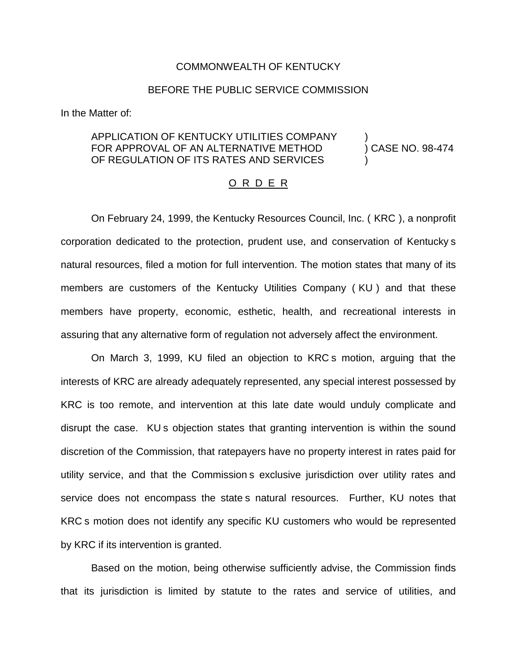## COMMONWEALTH OF KENTUCKY

## BEFORE THE PUBLIC SERVICE COMMISSION

In the Matter of:

# APPLICATION OF KENTUCKY UTILITIES COMPANY ) FOR APPROVAL OF AN ALTERNATIVE METHOD (CASE NO. 98-474 OF REGULATION OF ITS RATES AND SERVICES

#### O R D E R

On February 24, 1999, the Kentucky Resources Council, Inc. ( KRC ), a nonprofit corporation dedicated to the protection, prudent use, and conservation of Kentucky s natural resources, filed a motion for full intervention. The motion states that many of its members are customers of the Kentucky Utilities Company ( KU ) and that these members have property, economic, esthetic, health, and recreational interests in assuring that any alternative form of regulation not adversely affect the environment.

On March 3, 1999, KU filed an objection to KRC s motion, arguing that the interests of KRC are already adequately represented, any special interest possessed by KRC is too remote, and intervention at this late date would unduly complicate and disrupt the case. KU s objection states that granting intervention is within the sound discretion of the Commission, that ratepayers have no property interest in rates paid for utility service, and that the Commission s exclusive jurisdiction over utility rates and service does not encompass the state s natural resources. Further, KU notes that KRC s motion does not identify any specific KU customers who would be represented by KRC if its intervention is granted.

Based on the motion, being otherwise sufficiently advise, the Commission finds that its jurisdiction is limited by statute to the rates and service of utilities, and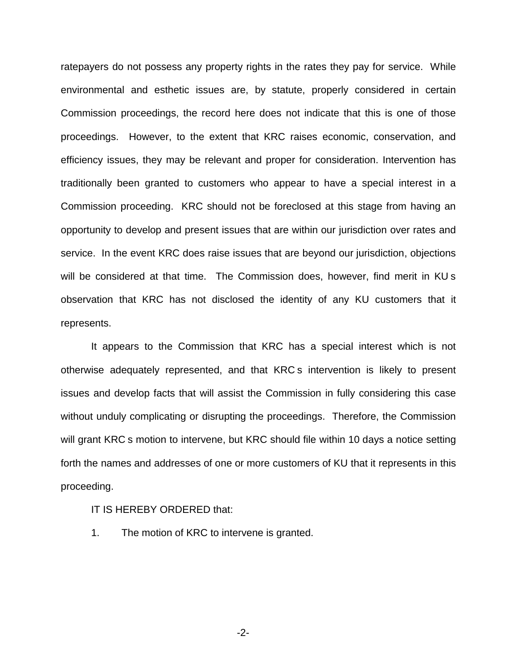ratepayers do not possess any property rights in the rates they pay for service. While environmental and esthetic issues are, by statute, properly considered in certain Commission proceedings, the record here does not indicate that this is one of those proceedings. However, to the extent that KRC raises economic, conservation, and efficiency issues, they may be relevant and proper for consideration. Intervention has traditionally been granted to customers who appear to have a special interest in a Commission proceeding. KRC should not be foreclosed at this stage from having an opportunity to develop and present issues that are within our jurisdiction over rates and service. In the event KRC does raise issues that are beyond our jurisdiction, objections will be considered at that time. The Commission does, however, find merit in KU s observation that KRC has not disclosed the identity of any KU customers that it represents.

It appears to the Commission that KRC has a special interest which is not otherwise adequately represented, and that KRC s intervention is likely to present issues and develop facts that will assist the Commission in fully considering this case without unduly complicating or disrupting the proceedings. Therefore, the Commission will grant KRC s motion to intervene, but KRC should file within 10 days a notice setting forth the names and addresses of one or more customers of KU that it represents in this proceeding.

# IT IS HEREBY ORDERED that:

1. The motion of KRC to intervene is granted.

-2-